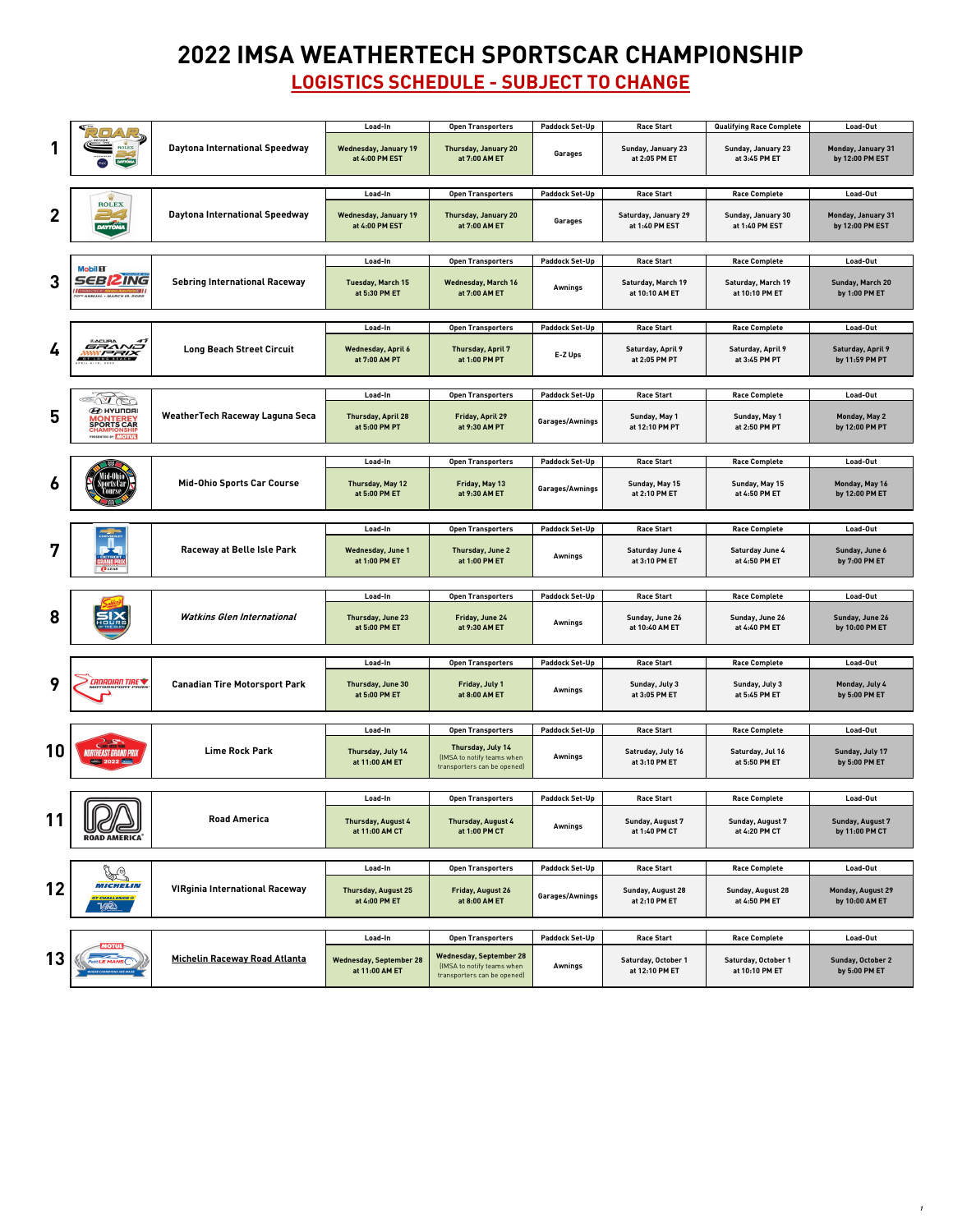|                | 只口△尽<br><b>DAYTÓNA</b><br>INX                                                                                            |                                        | Load-In                                        | <b>Open Transporters</b>                     | <b>Paddock Set-Up</b>  | <b>Race Start</b>                             | <b>Qualifying Race Complete</b>             | Load-Out                                     |
|----------------|--------------------------------------------------------------------------------------------------------------------------|----------------------------------------|------------------------------------------------|----------------------------------------------|------------------------|-----------------------------------------------|---------------------------------------------|----------------------------------------------|
|                |                                                                                                                          | <b>Daytona International Speedway</b>  | <b>Wednesday, January 19</b><br>at 4:00 PM EST | <b>Thursday, January 20</b><br>at 7:00 AM ET | <b>Garages</b>         | <b>Sunday, January 23</b><br>at 2:05 PM ET    | <b>Sunday, January 23</b><br>at 3:45 PM ET  | <b>Monday, January 31</b><br>by 12:00 PM EST |
|                |                                                                                                                          |                                        |                                                |                                              |                        |                                               |                                             |                                              |
|                | <b>ROLEX</b><br>32<br><b>DAYTONA</b>                                                                                     |                                        | Load-In                                        | <b>Open Transporters</b>                     | <b>Paddock Set-Up</b>  | <b>Race Start</b>                             | <b>Race Complete</b>                        | Load-Out                                     |
| $\overline{2}$ |                                                                                                                          | <b>Daytona International Speedway</b>  | <b>Wednesday, January 19</b><br>at 4:00 PM EST | <b>Thursday, January 20</b><br>at 7:00 AM ET | <b>Garages</b>         | <b>Saturday, January 29</b><br>at 1:40 PM EST | <b>Sunday, January 30</b><br>at 1:40 PM EST | <b>Monday, January 31</b><br>by 12:00 PM EST |
|                |                                                                                                                          |                                        |                                                |                                              |                        |                                               |                                             |                                              |
|                |                                                                                                                          |                                        | Load-In                                        | <b>Open Transporters</b>                     | <b>Paddock Set-Up</b>  | <b>Race Start</b>                             | <b>Race Complete</b>                        | Load-Out                                     |
| 3              | <b>Mobil 11</b><br><b>SEBRZING</b><br><b>70TH ANNUAL . MARCH IS, 2022</b>                                                | <b>Sebring International Raceway</b>   | <b>Tuesday, March 15</b><br>at 5:30 PM ET      | <b>Wednesday, March 16</b><br>at 7:00 AM ET  | <b>Awnings</b>         | <b>Saturday, March 19</b><br>at 10:10 AM ET   | <b>Saturday, March 19</b><br>at 10:10 PM ET | Sunday, March 20<br>by 1:00 PM ET            |
|                |                                                                                                                          |                                        |                                                |                                              |                        |                                               |                                             |                                              |
|                | <b><i>®ACURA</i></b><br>47<br>GRAND<br><b>: / - / - / X</b><br>OF LONG BEACH<br>APRIL 8-10, 2022                         | <b>Long Beach Street Circuit</b>       | Load-In                                        | <b>Open Transporters</b>                     | <b>Paddock Set-Up</b>  | <b>Race Start</b>                             | <b>Race Complete</b>                        | Load-Out                                     |
| $\frac{1}{2}$  |                                                                                                                          |                                        | <b>Wednesday, April 6</b><br>at 7:00 AM PT     | <b>Thursday, April 7</b><br>at 1:00 PM PT    | E-Z Ups                | <b>Saturday, April 9</b><br>at 2:05 PM PT     | <b>Saturday, April 9</b><br>at 3:45 PM PT   | <b>Saturday, April 9</b><br>by 11:59 PM PT   |
|                |                                                                                                                          |                                        |                                                |                                              |                        |                                               |                                             |                                              |
|                |                                                                                                                          |                                        | Load-In                                        | <b>Open Transporters</b>                     | <b>Paddock Set-Up</b>  | <b>Race Start</b>                             | <b>Race Complete</b>                        | Load-Out                                     |
| 5              | PC<br>$\boldsymbol{\mathcal{D}}$ HYUNDAI<br><b>MONTEREY<br/>SPORTS CAR<br/>CHAMPIONSHIP</b><br>PRESENTED BY <b>MOTUL</b> | <b>WeatherTech Raceway Laguna Seca</b> | <b>Thursday, April 28</b><br>at 5:00 PM PT     | <b>Friday, April 29</b><br>at 9:30 AM PT     | <b>Garages/Awnings</b> | <b>Sunday, May 1</b><br>at 12:10 PM PT        | Sunday, May 1<br>at 2:50 PM PT              | <b>Monday, May 2</b><br>by 12:00 PM PT       |
|                |                                                                                                                          |                                        |                                                |                                              |                        |                                               |                                             |                                              |
|                |                                                                                                                          | <b>Mid-Ohio Sports Car Course</b>      | Load-In                                        | <b>Open Transporters</b>                     | <b>Paddock Set-Up</b>  | <b>Race Start</b>                             | <b>Race Complete</b>                        | Load-Out                                     |
| $\bullet$      |                                                                                                                          |                                        | Thursday, May 12<br>at 5:00 PM ET              | Friday, May 13<br>at 9:30 AM ET              | Garages/Awnings        | Sunday, May 15<br>at 2:10 PM ET               | Sunday, May 15<br>at 4:50 PM ET             | Monday, May 16<br>by 12:00 PM ET             |
|                |                                                                                                                          |                                        |                                                |                                              |                        |                                               |                                             |                                              |
|                | <b>CHEVROLET</b>                                                                                                         |                                        | Load-In                                        | <b>Open Transporters</b>                     | <b>Paddock Set-Up</b>  | <b>Race Start</b>                             | <b>Race Complete</b>                        | Load-Out                                     |
| 7              | . DETROIT .<br>GRAND PRIX<br>$\overline{O}$ LEAR                                                                         | <b>Raceway at Belle Isle Park</b>      | <b>Wednesday, June 1</b><br>at 1:00 PM ET      | Thursday, June 2<br>at 1:00 PM ET            | <b>Awnings</b>         | <b>Saturday June 4</b><br>at 3:10 PM ET       | <b>Saturday June 4</b><br>at 4:50 PM ET     | Sunday, June 6<br>by 7:00 PM ET              |

| 8  | <b>SIX</b>                                                                                             | <b>Watkins Glen International</b>    | Load-In                                          | <b>Open Transporters</b>                                                                    | <b>Paddock Set-Up</b> | <b>Race Start</b>                            | <b>Race Complete</b>                         | Load-Out                                   |  |
|----|--------------------------------------------------------------------------------------------------------|--------------------------------------|--------------------------------------------------|---------------------------------------------------------------------------------------------|-----------------------|----------------------------------------------|----------------------------------------------|--------------------------------------------|--|
|    |                                                                                                        |                                      | <b>Thursday, June 23</b><br>at 5:00 PM ET        | Friday, June 24<br>at 9:30 AM ET                                                            | <b>Awnings</b>        | Sunday, June 26<br>at 10:40 AM ET            | Sunday, June 26<br>at 4:40 PM ET             | Sunday, June 26<br>by 10:00 PM ET          |  |
|    |                                                                                                        |                                      |                                                  |                                                                                             |                       |                                              |                                              |                                            |  |
|    |                                                                                                        |                                      | Load-In                                          | <b>Open Transporters</b>                                                                    | <b>Paddock Set-Up</b> | <b>Race Start</b>                            | <b>Race Complete</b>                         | Load-Out                                   |  |
| 9  | CANADIAN TIRE<br>NOTORSPORT PARK                                                                       | <b>Canadian Tire Motorsport Park</b> | <b>Thursday, June 30</b><br>at 5:00 PM ET        | Friday, July 1<br>at 8:00 AM ET                                                             | Awnings               | Sunday, July 3<br>at 3:05 PM ET              | Sunday, July 3<br>at 5:45 PM ET              | Monday, July 4<br>by 5:00 PM ET            |  |
|    |                                                                                                        |                                      |                                                  |                                                                                             |                       |                                              |                                              |                                            |  |
|    |                                                                                                        |                                      | Load-In                                          | <b>Open Transporters</b>                                                                    | <b>Paddock Set-Up</b> | <b>Race Start</b>                            | <b>Race Complete</b>                         | Load-Out                                   |  |
| 10 | <b>CLIME ROCK PARK</b><br>irtheast Grand Prix<br>$\boxed{2022}$                                        | <b>Lime Rock Park</b>                | Thursday, July 14<br>at 11:00 AM ET              | Thursday, July 14<br>(IMSA to notify teams when<br>transporters can be opened)              | Awnings               | Satruday, July 16<br>at 3:10 PM ET           | Saturday, Jul 16<br>at 5:50 PM ET            | Sunday, July 17<br>by 5:00 PM ET           |  |
|    |                                                                                                        |                                      |                                                  |                                                                                             |                       |                                              |                                              |                                            |  |
|    | <b>ROAD AMERICA</b>                                                                                    | <b>Road America</b>                  | Load-In                                          | <b>Open Transporters</b>                                                                    | <b>Paddock Set-Up</b> | <b>Race Start</b>                            | <b>Race Complete</b>                         | Load-Out                                   |  |
| 11 |                                                                                                        |                                      | <b>Thursday, August 4</b><br>at 11:00 AM CT      | <b>Thursday, August 4</b><br>at 1:00 PM CT                                                  | Awnings               | <b>Sunday, August 7</b><br>at 1:40 PM CT     | <b>Sunday, August 7</b><br>at 4:20 PM CT     | <b>Sunday, August 7</b><br>by 11:00 PM CT  |  |
|    |                                                                                                        |                                      |                                                  |                                                                                             |                       |                                              |                                              |                                            |  |
|    | $\mathbb{Z}^2$<br>MICHELIN<br><b>VIRginia International Raceway</b><br><b>CHALLENGE®</b><br><b>NET</b> | Load-In                              | <b>Open Transporters</b>                         | <b>Paddock Set-Up</b>                                                                       | <b>Race Start</b>     | <b>Race Complete</b>                         | Load-Out                                     |                                            |  |
| 12 |                                                                                                        |                                      | <b>Thursday, August 25</b><br>at 4:00 PM ET      | <b>Friday, August 26</b><br>at 8:00 AM ET                                                   | Garages/Awnings       | <b>Sunday, August 28</b><br>at 2:10 PM ET    | <b>Sunday, August 28</b><br>at 4:50 PM ET    | <b>Monday, August 29</b><br>by 10:00 AM ET |  |
|    |                                                                                                        |                                      |                                                  |                                                                                             |                       |                                              |                                              |                                            |  |
|    | иоти<br>Petit LE MANS<br><b>WHERE CHAMPIONS ARE MADE</b>                                               | <b>Michelin Raceway Road Atlanta</b> | Load-In                                          | <b>Open Transporters</b>                                                                    | <b>Paddock Set-Up</b> | <b>Race Start</b>                            | <b>Race Complete</b>                         | Load-Out                                   |  |
| 13 |                                                                                                        |                                      | <b>Wednesday, September 28</b><br>at 11:00 AM ET | <b>Wednesday, September 28</b><br>(IMSA to notify teams when<br>transporters can be opened) | <b>Awnings</b>        | <b>Saturday, October 1</b><br>at 12:10 PM ET | <b>Saturday, October 1</b><br>at 10:10 PM ET | <b>Sunday, October 2</b><br>by 5:00 PM ET  |  |

## **2022 IMSA WEATHERTECH SPORTSCAR CHAMPIONSHIP**

## **LOGISTICS SCHEDULE - SUBJECT TO CHANGE**

**1**